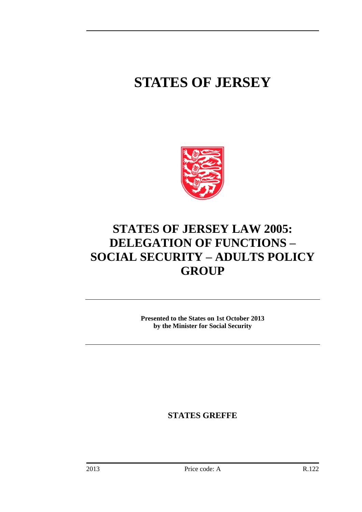# **STATES OF JERSEY**



# **STATES OF JERSEY LAW 2005: DELEGATION OF FUNCTIONS – SOCIAL SECURITY – ADULTS POLICY GROUP**

**Presented to the States on 1st October 2013 by the Minister for Social Security**

**STATES GREFFE**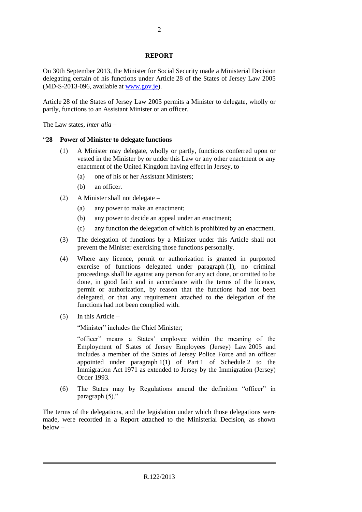### **REPORT**

On 30th September 2013, the Minister for Social Security made a Ministerial Decision delegating certain of his functions under Article 28 of the States of Jersey Law 2005 (MD-S-2013-096, available at [www.gov.je\)](http://www.gov.je/).

Article 28 of the States of Jersey Law 2005 permits a Minister to delegate, wholly or partly, functions to an Assistant Minister or an officer.

The Law states, *inter alia* –

## "**28 Power of Minister to delegate functions**

- (1) A Minister may delegate, wholly or partly, functions conferred upon or vested in the Minister by or under this Law or any other enactment or any enactment of the United Kingdom having effect in Jersey, to –
	- (a) one of his or her Assistant Ministers;
	- (b) an officer.
- (2) A Minister shall not delegate
	- (a) any power to make an enactment;
	- (b) any power to decide an appeal under an enactment;
	- (c) any function the delegation of which is prohibited by an enactment.
- (3) The delegation of functions by a Minister under this Article shall not prevent the Minister exercising those functions personally.
- (4) Where any licence, permit or authorization is granted in purported exercise of functions delegated under paragraph (1), no criminal proceedings shall lie against any person for any act done, or omitted to be done, in good faith and in accordance with the terms of the licence, permit or authorization, by reason that the functions had not been delegated, or that any requirement attached to the delegation of the functions had not been complied with.
- (5) In this Article –

"Minister" includes the Chief Minister;

"officer" means a States' employee within the meaning of the Employment of States of Jersey Employees (Jersey) Law 2005 and includes a member of the States of Jersey Police Force and an officer appointed under paragraph 1(1) of Part 1 of Schedule 2 to the Immigration Act 1971 as extended to Jersey by the Immigration (Jersey) Order 1993.

(6) The States may by Regulations amend the definition "officer" in paragraph (5)."

The terms of the delegations, and the legislation under which those delegations were made, were recorded in a Report attached to the Ministerial Decision, as shown below –